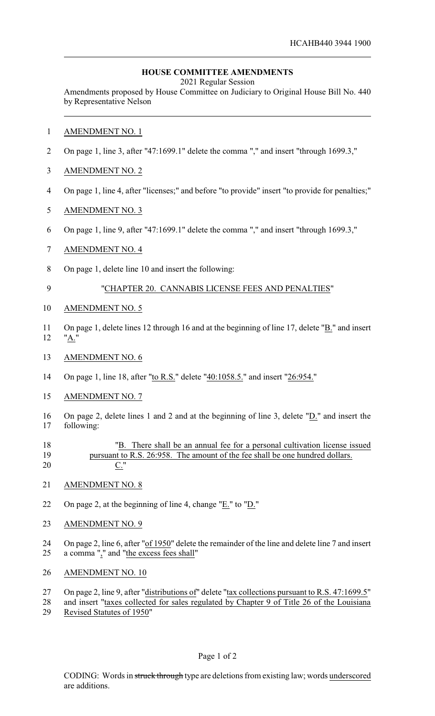## **HOUSE COMMITTEE AMENDMENTS**

2021 Regular Session

Amendments proposed by House Committee on Judiciary to Original House Bill No. 440 by Representative Nelson

- AMENDMENT NO. 1
- On page 1, line 3, after "47:1699.1" delete the comma "," and insert "through 1699.3,"
- AMENDMENT NO. 2
- On page 1, line 4, after "licenses;" and before "to provide" insert "to provide for penalties;"
- AMENDMENT NO. 3
- On page 1, line 9, after "47:1699.1" delete the comma "," and insert "through 1699.3,"
- AMENDMENT NO. 4
- On page 1, delete line 10 and insert the following:
- "CHAPTER 20. CANNABIS LICENSE FEES AND PENALTIES"
- AMENDMENT NO. 5
- On page 1, delete lines 12 through 16 and at the beginning of line 17, delete "B." and insert "A."
- AMENDMENT NO. 6
- On page 1, line 18, after "to R.S." delete "40:1058.5." and insert "26:954."
- AMENDMENT NO. 7
- On page 2, delete lines 1 and 2 and at the beginning of line 3, delete "D." and insert the following:
- "B. There shall be an annual fee for a personal cultivation license issued pursuant to R.S. 26:958. The amount of the fee shall be one hundred dollars. C."
- AMENDMENT NO. 8
- On page 2, at the beginning of line 4, change "E." to "D."
- AMENDMENT NO. 9
- 24 On page 2, line 6, after "of 1950" delete the remainder of the line and delete line 7 and insert a comma "," and "the excess fees shall"
- AMENDMENT NO. 10
- 27 On page 2, line 9, after "distributions of" delete "tax collections pursuant to R.S. 47:1699.5"
- and insert "taxes collected for sales regulated by Chapter 9 of Title 26 of the Louisiana
- Revised Statutes of 1950"